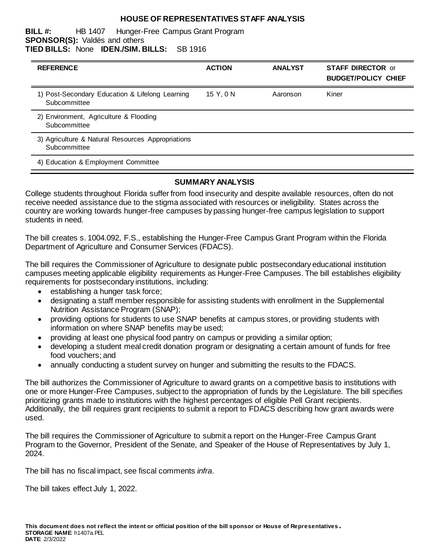#### **HOUSE OF REPRESENTATIVES STAFF ANALYSIS**

#### **BILL #:** HB 1407 Hunger-Free Campus Grant Program **SPONSOR(S):** Valdés and others **TIED BILLS:** None **IDEN./SIM. BILLS:** SB 1916

| <b>REFERENCE</b>                                                  | <b>ACTION</b> | <b>ANALYST</b> | <b>STAFF DIRECTOR or</b><br><b>BUDGET/POLICY CHIEF</b> |
|-------------------------------------------------------------------|---------------|----------------|--------------------------------------------------------|
| 1) Post-Secondary Education & Lifelong Learning<br>Subcommittee   | 15 Y, 0 N     | Aaronson       | Kiner                                                  |
| 2) Environment, Agriculture & Flooding<br>Subcommittee            |               |                |                                                        |
| 3) Agriculture & Natural Resources Appropriations<br>Subcommittee |               |                |                                                        |
| 4) Education & Employment Committee                               |               |                |                                                        |

# **SUMMARY ANALYSIS**

College students throughout Florida suffer from food insecurity and despite available resources, often do not receive needed assistance due to the stigma associated with resources or ineligibility. States across the country are working towards hunger-free campuses by passing hunger-free campus legislation to support students in need.

The bill creates s. 1004.092, F.S., establishing the Hunger-Free Campus Grant Program within the Florida Department of Agriculture and Consumer Services (FDACS).

The bill requires the Commissioner of Agriculture to designate public postsecondary educational institution campuses meeting applicable eligibility requirements as Hunger-Free Campuses. The bill establishes eligibility requirements for postsecondary institutions, including:

- establishing a hunger task force;
- designating a staff member responsible for assisting students with enrollment in the Supplemental Nutrition Assistance Program (SNAP);
- providing options for students to use SNAP benefits at campus stores, or providing students with information on where SNAP benefits may be used;
- providing at least one physical food pantry on campus or providing a similar option;
- developing a student meal credit donation program or designating a certain amount of funds for free food vouchers; and
- annually conducting a student survey on hunger and submitting the results to the FDACS.

The bill authorizes the Commissioner of Agriculture to award grants on a competitive basis to institutions with one or more Hunger-Free Campuses, subject to the appropriation of funds by the Legislature. The bill specifies prioritizing grants made to institutions with the highest percentages of eligible Pell Grant recipients. Additionally, the bill requires grant recipients to submit a report to FDACS describing how grant awards were used.

The bill requires the Commissioner of Agriculture to submit a report on the Hunger-Free Campus Grant Program to the Governor, President of the Senate, and Speaker of the House of Representatives by July 1, 2024.

The bill has no fiscal impact, see fiscal comments *infra*.

The bill takes effect July 1, 2022.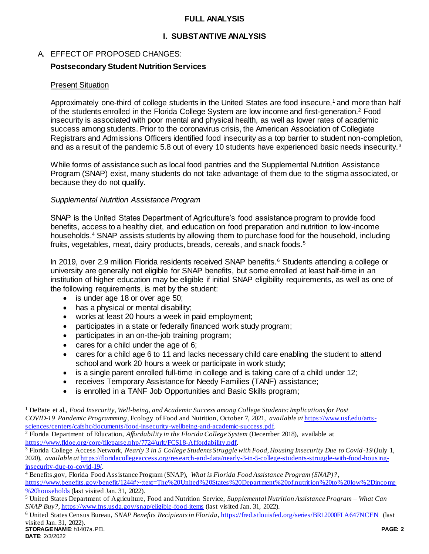### **FULL ANALYSIS**

### **I. SUBSTANTIVE ANALYSIS**

# A. EFFECT OF PROPOSED CHANGES:

### **Postsecondary Student Nutrition Services**

#### Present Situation

Approximately one-third of college students in the United States are food insecure,<sup>1</sup> and more than half of the students enrolled in the Florida College System are low income and first-generation.<sup>2</sup> Food insecurity is associated with poor mental and physical health, as well as lower rates of academic success among students. Prior to the coronavirus crisis, the American Association of Collegiate Registrars and Admissions Officers identified food insecurity as a top barrier to student non-completion, and as a result of the pandemic 5.8 out of every 10 students have experienced basic needs insecurity.<sup>3</sup>

While forms of assistance such as local food pantries and the Supplemental Nutrition Assistance Program (SNAP) exist, many students do not take advantage of them due to the stigma associated, or because they do not qualify.

#### *Supplemental Nutrition Assistance Program*

SNAP is the United States Department of Agriculture's food assistance program to provide food benefits, access to a healthy diet, and education on food preparation and nutrition to low-income households.<sup>4</sup> SNAP assists students by allowing them to purchase food for the household, including fruits, vegetables, meat, dairy products, breads, cereals, and snack foods.<sup>5</sup>

In 2019, over 2.9 million Florida residents received SNAP benefits.<sup>6</sup> Students attending a college or university are generally not eligible for SNAP benefits, but some enrolled at least half-time in an institution of higher education may be eligible if initial SNAP eligibility requirements, as well as one of the following requirements, is met by the student:

- is under age 18 or over age 50;
- has a physical or mental disability;
- works at least 20 hours a week in paid employment;
- participates in a state or federally financed work study program;
- participates in an on-the-job training program;
- cares for a child under the age of 6;
- cares for a child age 6 to 11 and lacks necessary child care enabling the student to attend school and work 20 hours a week or participate in work study;
- is a single parent enrolled full-time in college and is taking care of a child under 12;
- receives Temporary Assistance for Needy Families (TANF) assistance;
- is enrolled in a TANF Job Opportunities and Basic Skills program;

 $\overline{a}$ 

<sup>1</sup> DeBate et al., *Food Insecurity, Well-being, and Academic Success among College Students: Implications for Post COVID-19 Pandemic Programming*, Ecology of Food and Nutrition, October 7, 2021, *available at* [https://www.usf.edu/arts](https://www.usf.edu/arts-sciences/centers/cafshc/documents/food-insecurity-wellbeing-and-academic-success.pdf)[sciences/centers/cafshc/documents/food-insecurity-wellbeing-and-academic-success.pdf.](https://www.usf.edu/arts-sciences/centers/cafshc/documents/food-insecurity-wellbeing-and-academic-success.pdf)

<sup>2</sup> Florida Department of Education, *Affordability in the Florida College System* (December 2018), available at [https://www.fldoe.org/core/fileparse.php/7724/urlt/FCS18-Affordability.pdf.](https://www.fldoe.org/core/fileparse.php/7724/urlt/FCS18-Affordability.pdf) 

<sup>3</sup> Florida College Access Network, *Nearly 3 in 5 College Students Struggle with Food, Housing Insecurity Due to Covid -19* (July 1, 2020), *available at* [https://floridacollegeaccess.org/research-and-data/nearly-3-in-5-college-students-struggle-with-food-housing](https://floridacollegeaccess.org/research-and-data/nearly-3-in-5-college-students-struggle-with-food-housing-insecurity-due-to-covid-19/)[insecurity-due-to-covid-19/.](https://floridacollegeaccess.org/research-and-data/nearly-3-in-5-college-students-struggle-with-food-housing-insecurity-due-to-covid-19/) 

<sup>4</sup> Benefits.gov, Florida Food Assistance Program (SNAP), *What is Florida Food Assistance Program (SNAP)?*,

[https://www.benefits.gov/benefit/1244#:~:text=The%20United%20States%20Department%20of,nutrition%20to%20low%2Dincome](https://www.benefits.gov/benefit/1244#:~:text=The%20United%20States%20Department%20of,nutrition%20to%20low%2Dincome%20households) [%20households](https://www.benefits.gov/benefit/1244#:~:text=The%20United%20States%20Department%20of,nutrition%20to%20low%2Dincome%20households) (last visited Jan. 31, 2022).

<sup>5</sup> United States Department of Agriculture, Food and Nutrition Service, *Supplemental Nutrition Assistance Program – What Can SNAP Buy?,* <https://www.fns.usda.gov/snap/eligible-food-items> (last visited Jan. 31, 2022).

**STORAGE NAME**: h1407a.PEL **PAGE: 2** <sup>6</sup> United States Census Bureau, *SNAP Benefits Recipients in Florida*[, https://fred.stlouisfed.org/series/BR12000FLA647NCEN](https://fred.stlouisfed.org/series/BR12000FLA647NCEN) (last visited Jan. 31, 2022).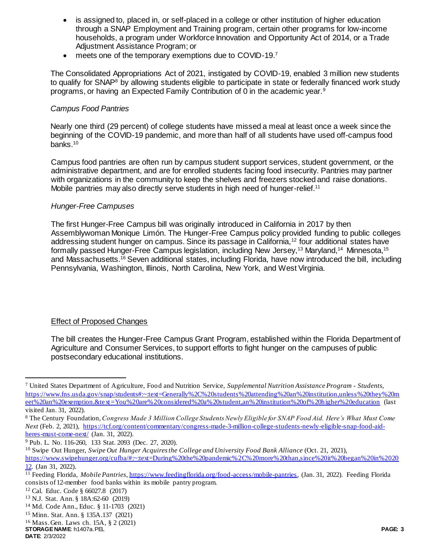- is assigned to, placed in, or self-placed in a college or other institution of higher education through a SNAP Employment and Training program, certain other programs for low-income households, a program under Workforce Innovation and Opportunity Act of 2014, or a Trade Adjustment Assistance Program; or
- meets one of the temporary exemptions due to COVID-19.7

The Consolidated Appropriations Act of 2021, instigated by COVID-19, enabled 3 million new students to qualify for SNAP<sup>8</sup> by allowing students eligible to participate in state or federally financed work study programs, or having an Expected Family Contribution of 0 in the academic year.<sup>9</sup>

# *Campus Food Pantries*

Nearly one third (29 percent) of college students have missed a meal at least once a week since the beginning of the COVID-19 pandemic, and more than half of all students have used off-campus food banks.<sup>10</sup>

Campus food pantries are often run by campus student support services, student government, or the administrative department, and are for enrolled students facing food insecurity. Pantries may partner with organizations in the community to keep the shelves and freezers stocked and raise donations. Mobile pantries may also directly serve students in high need of hunger-relief.<sup>11</sup>

# *Hunger-Free Campuses*

The first Hunger-Free Campus bill was originally introduced in California in 2017 by then Assemblywoman Monique Limón. The Hunger-Free Campus policy provided funding to public colleges addressing student hunger on campus. Since its passage in California,<sup>12</sup> four additional states have formally passed Hunger-Free Campus legislation, including New Jersey,<sup>13</sup> Maryland,<sup>14</sup> Minnesota,<sup>15</sup> and Massachusetts.<sup>16</sup> Seven additional states, including Florida, have now introduced the bill, including Pennsylvania, Washington, Illinois, North Carolina, New York, and West Virginia.

# Effect of Proposed Changes

The bill creates the Hunger-Free Campus Grant Program, established within the Florida Department of Agriculture and Consumer Services, to support efforts to fight hunger on the campuses of public postsecondary educational institutions.

<sup>9</sup> Pub. L. No. 116-260, 133 Stat. 2093 (Dec. 27, 2020).

<sup>10</sup> Swipe Out Hunger, *Swipe Out Hunger Acquires the College and University Food Bank Alliance* (Oct. 21, 2021), [https://www.swipehunger.org/cufba/#:~:text=During%20the%20pandemic%2C%20more%20than,since%20it%20began%20in%2020](https://www.swipehunger.org/cufba/#:~:text=During%20the%20pandemic%2C%20more%20than,since%20it%20began%20in%202012) [12.](https://www.swipehunger.org/cufba/#:~:text=During%20the%20pandemic%2C%20more%20than,since%20it%20began%20in%202012) (Jan 31, 2022).

<sup>15</sup> Minn. Stat. Ann. § 135A.137 (2021)

 $\overline{a}$ 

<sup>7</sup> United States Department of Agriculture, Food and Nutrition Service, *Supplemental Nutrition Assistance Program - Students*, [https://www.fns.usda.gov/snap/students#:~:text=Generally%2C%20students%20attending%20an%20institution,unless%20they%20m](https://www.fns.usda.gov/snap/students#:~:text=Generally%2C%20students%20attending%20an%20institution,unless%20they%20meet%20an%20exemption.&text=You%20are%20considered%20a%20student,an%20institution%20of%20higher%20education) [eet%20an%20exemption.&text=You%20are%20considered%20a%20student,an%20institution%20of%20higher%20education](https://www.fns.usda.gov/snap/students#:~:text=Generally%2C%20students%20attending%20an%20institution,unless%20they%20meet%20an%20exemption.&text=You%20are%20considered%20a%20student,an%20institution%20of%20higher%20education) (last visited Jan. 31, 2022).

<sup>8</sup> The Century Foundation, *Congress Made 3 Million College Students Newly Eligible for SNAP Food Aid. Here's What Must Come Next* (Feb. 2, 2021)*,* [https://tcf.org/content/commentary/congress-made-3-million-college-students-newly-eligible-snap-food-aid](https://tcf.org/content/commentary/congress-made-3-million-college-students-newly-eligible-snap-food-aid-heres-must-come-next/)[heres-must-come-next/](https://tcf.org/content/commentary/congress-made-3-million-college-students-newly-eligible-snap-food-aid-heres-must-come-next/) (Jan. 31, 2022).

<sup>&</sup>lt;sup>11</sup> Feeding Florida, *Mobile Pantries*, *https://www.feedingflorida.org/food-access/mobile-pantries*, (Jan. 31, 2022). Feeding Florida consists of 12-member food banks within its mobile pantry program.

<sup>12</sup> Cal. Educ. Code § 66027.8 (2017)

<sup>13</sup> N.J. Stat. Ann. § 18A:62-60 (2019)

<sup>14</sup> Md. Code Ann., Educ. § 11-1703 (2021)

<sup>16</sup> Mass. Gen. Laws ch. 15A, § 2 (2021)

**DATE**: 2/3/2022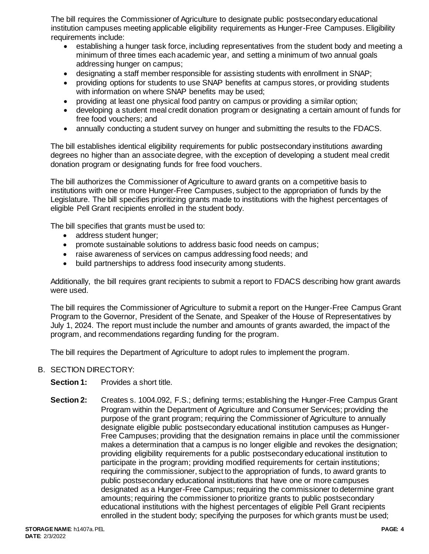The bill requires the Commissioner of Agriculture to designate public postsecondary educational institution campuses meeting applicable eligibility requirements as Hunger-Free Campuses. Eligibility requirements include:

- establishing a hunger task force, including representatives from the student body and meeting a minimum of three times each academic year, and setting a minimum of two annual goals addressing hunger on campus;
- designating a staff member responsible for assisting students with enrollment in SNAP;
- providing options for students to use SNAP benefits at campus stores, or providing students with information on where SNAP benefits may be used;
- providing at least one physical food pantry on campus or providing a similar option;
- developing a student meal credit donation program or designating a certain amount of funds for free food vouchers; and
- annually conducting a student survey on hunger and submitting the results to the FDACS.

The bill establishes identical eligibility requirements for public postsecondary institutions awarding degrees no higher than an associate degree, with the exception of developing a student meal credit donation program or designating funds for free food vouchers.

The bill authorizes the Commissioner of Agriculture to award grants on a competitive basis to institutions with one or more Hunger-Free Campuses, subject to the appropriation of funds by the Legislature. The bill specifies prioritizing grants made to institutions with the highest percentages of eligible Pell Grant recipients enrolled in the student body.

The bill specifies that grants must be used to:

- address student hunger;
- promote sustainable solutions to address basic food needs on campus;
- raise awareness of services on campus addressing food needs; and
- build partnerships to address food insecurity among students.

Additionally, the bill requires grant recipients to submit a report to FDACS describing how grant awards were used.

The bill requires the Commissioner of Agriculture to submit a report on the Hunger-Free Campus Grant Program to the Governor, President of the Senate, and Speaker of the House of Representatives by July 1, 2024. The report must include the number and amounts of grants awarded, the impact of the program, and recommendations regarding funding for the program.

The bill requires the Department of Agriculture to adopt rules to implement the program.

- B. SECTION DIRECTORY:
	- **Section 1:** Provides a short title.
	- **Section 2:** Creates s. 1004.092, F.S.; defining terms; establishing the Hunger-Free Campus Grant Program within the Department of Agriculture and Consumer Services; providing the purpose of the grant program; requiring the Commissioner of Agriculture to annually designate eligible public postsecondary educational institution campuses as Hunger-Free Campuses; providing that the designation remains in place until the commissioner makes a determination that a campus is no longer eligible and revokes the designation; providing eligibility requirements for a public postsecondary educational institution to participate in the program; providing modified requirements for certain institutions; requiring the commissioner, subject to the appropriation of funds, to award grants to public postsecondary educational institutions that have one or more campuses designated as a Hunger-Free Campus; requiring the commissioner to determine grant amounts; requiring the commissioner to prioritize grants to public postsecondary educational institutions with the highest percentages of eligible Pell Grant recipients enrolled in the student body; specifying the purposes for which grants must be used;